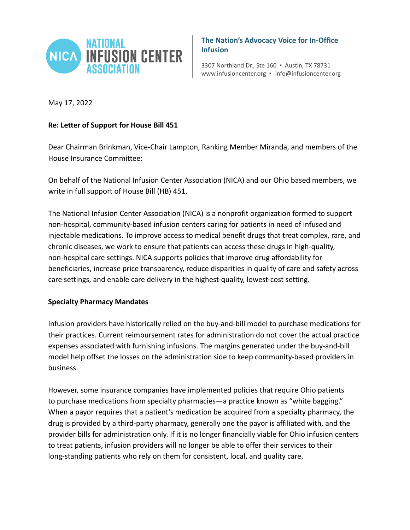

**The Nation's Advocacy Voice for In-Office Infusion**

3307 Northland Dr., Ste 160 ▪ Austin, TX 78731 www.infusioncenter.org ▪ info@infusioncenter.org

May 17, 2022

## **Re: Letter of Support for House Bill 451**

Dear Chairman Brinkman, Vice-Chair Lampton, Ranking Member Miranda, and members of the House Insurance Committee:

On behalf of the National Infusion Center Association (NICA) and our Ohio based members, we write in full support of House Bill (HB) 451.

The National Infusion Center Association (NICA) is a nonprofit organization formed to support non-hospital, community-based infusion centers caring for patients in need of infused and injectable medications. To improve access to medical benefit drugs that treat complex, rare, and chronic diseases, we work to ensure that patients can access these drugs in high-quality, non-hospital care settings. NICA supports policies that improve drug affordability for beneficiaries, increase price transparency, reduce disparities in quality of care and safety across care settings, and enable care delivery in the highest-quality, lowest-cost setting.

## **Specialty Pharmacy Mandates**

Infusion providers have historically relied on the buy-and-bill model to purchase medications for their practices. Current reimbursement rates for administration do not cover the actual practice expenses associated with furnishing infusions. The margins generated under the buy-and-bill model help offset the losses on the administration side to keep community-based providers in business.

However, some insurance companies have implemented policies that require Ohio patients to purchase medications from specialty pharmacies—a practice known as "white bagging." When a payor requires that a patient's medication be acquired from a specialty pharmacy, the drug is provided by a third-party pharmacy, generally one the payor is affiliated with, and the provider bills for administration only. If it is no longer financially viable for Ohio infusion centers to treat patients, infusion providers will no longer be able to offer their services to their long-standing patients who rely on them for consistent, local, and quality care.